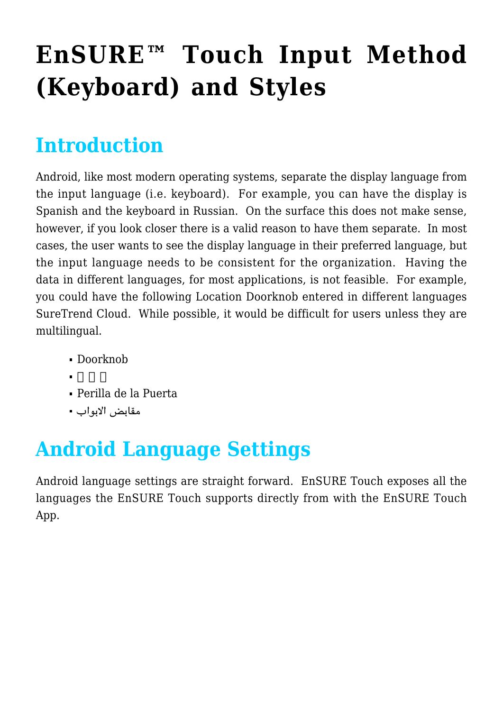# **[EnSURE™ Touch Input Method](https://help.hygiena.com/kb-doc/ensure-touch-input-method-keyboard-and-styles/) [\(Keyboard\) and Styles](https://help.hygiena.com/kb-doc/ensure-touch-input-method-keyboard-and-styles/)**

#### **Introduction**

Android, like most modern operating systems, separate the display language from the input language (i.e. keyboard). For example, you can have the display is Spanish and the keyboard in Russian. On the surface this does not make sense, however, if you look closer there is a valid reason to have them separate. In most cases, the user wants to see the display language in their preferred language, but the input language needs to be consistent for the organization. Having the data in different languages, for most applications, is not feasible. For example, you could have the following Location Doorknob entered in different languages SureTrend Cloud. While possible, it would be difficult for users unless they are multilingual.

- Doorknob
- 
- Perilla de la Puerta
- مقابض الابواب

# **Android Language Settings**

Android language settings are straight forward. EnSURE Touch exposes all the languages the EnSURE Touch supports directly from with the EnSURE Touch App.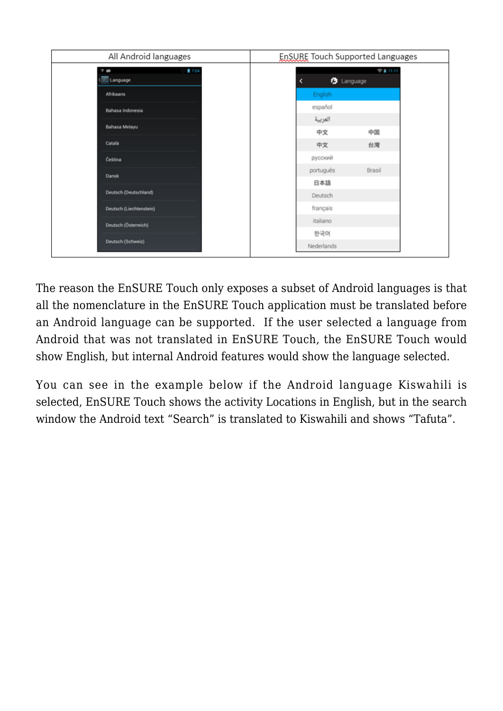| All Android languages                | EnSURE Touch Supported Languages |
|--------------------------------------|----------------------------------|
| ■ 7:04<br>$\blacksquare$<br>Language | 74111<br><b>う</b> Language       |
| Afrikaans                            | English                          |
| Bahasa Indonesia                     | español<br>العربية               |
| Bahasa Melayu                        | 中文<br>中国                         |
| Català                               | 中文<br>台灣                         |
| Čeština                              | русский                          |
| Dansk                                | Brasil<br>português              |
| Deutsch (Deutschland)                | 日本語<br>Deutsch                   |
| Deutsch (Liechtenstein)              | français                         |
| Deutsch (Österreich)                 | italiano                         |
| Deutsch (Schweiz)                    | 한국어                              |
|                                      | Nederlands                       |

The reason the EnSURE Touch only exposes a subset of Android languages is that all the nomenclature in the EnSURE Touch application must be translated before an Android language can be supported. If the user selected a language from Android that was not translated in EnSURE Touch, the EnSURE Touch would show English, but internal Android features would show the language selected.

You can see in the example below if the Android language Kiswahili is selected, EnSURE Touch shows the activity Locations in English, but in the search window the Android text "Search" is translated to Kiswahili and shows "Tafuta".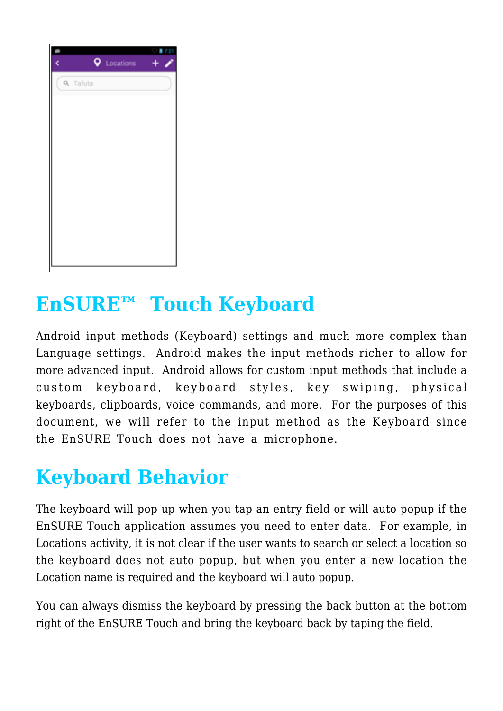| Locations       |  |
|-----------------|--|
| <b>Q</b> Tafuta |  |
|                 |  |
|                 |  |
|                 |  |
|                 |  |
|                 |  |
|                 |  |
|                 |  |
|                 |  |
|                 |  |
|                 |  |
|                 |  |
|                 |  |

#### **EnSURE™ Touch Keyboard**

Android input methods (Keyboard) settings and much more complex than Language settings. Android makes the input methods richer to allow for more advanced input. Android allows for custom input methods that include a custom keyboard, keyboard styles, key swiping, physical keyboards, clipboards, voice commands, and more. For the purposes of this document, we will refer to the input method as the Keyboard since the EnSURE Touch does not have a microphone.

# **Keyboard Behavior**

The keyboard will pop up when you tap an entry field or will auto popup if the EnSURE Touch application assumes you need to enter data. For example, in Locations activity, it is not clear if the user wants to search or select a location so the keyboard does not auto popup, but when you enter a new location the Location name is required and the keyboard will auto popup.

You can always dismiss the keyboard by pressing the back button at the bottom right of the EnSURE Touch and bring the keyboard back by taping the field.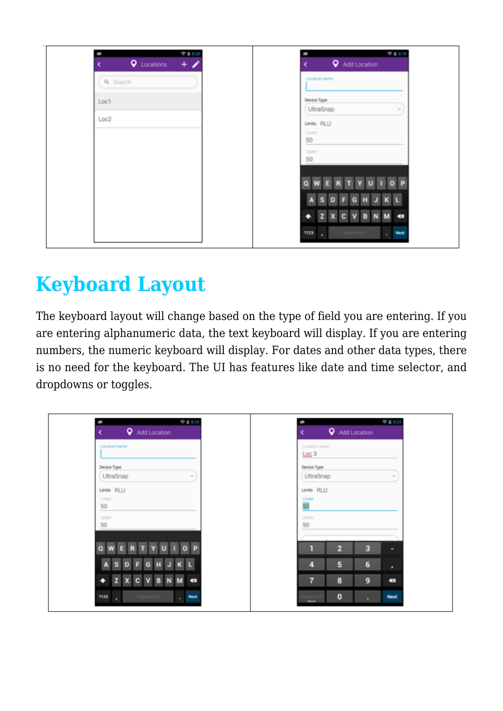| 94.820<br>٠<br><b>Q</b> Locations<br>$+$ | <b>94318</b><br>٠<br><b>Q</b> Add Location |
|------------------------------------------|--------------------------------------------|
| <b>Q</b> Search                          | Location name                              |
| Loc1                                     | Device Type                                |
| Loc2                                     | UltraSnap<br>$\sim$                        |
|                                          | Limits RLU<br>Lower                        |
|                                          | 50<br>⋍                                    |
|                                          | Upper<br>50                                |
|                                          | P                                          |
|                                          |                                            |
|                                          | $\overline{\phantom{a}}$                   |
|                                          | 7123<br><b>Next</b>                        |

# **Keyboard Layout**

The keyboard layout will change based on the type of field you are entering. If you are entering alphanumeric data, the text keyboard will display. If you are entering numbers, the numeric keyboard will display. For dates and other data types, there is no need for the keyboard. The UI has features like date and time selector, and dropdowns or toggles.

| <b>94318</b><br><b>Q</b> Add Location                                            | <b>VA123</b><br>٠<br><b>Q</b> Add Location<br>e |
|----------------------------------------------------------------------------------|-------------------------------------------------|
| Location name                                                                    | Location name<br>Loc <sub>3</sub>               |
| Device Type<br>UltraSnap<br>$\sim$                                               | Device Type<br>UltraSnap<br>$\sim$              |
| Limits RLU                                                                       | Limits RLU                                      |
| Lower<br>50<br>$\frac{1}{2}$                                                     | Lower<br>50                                     |
| Upper<br>50                                                                      | Upper<br>50                                     |
|                                                                                  |                                                 |
| UIOP<br>$\mathbf{v}$<br>R                                                        | $\overline{2}$<br>3<br>ī<br>۰                   |
| $\mathbf{K}$<br>н<br>э<br>G                                                      | 5<br>$6\phantom{1}6$<br>4<br>٠                  |
| $\mathbf{x}$<br>$\mathbf{c}$<br>$\mathbf v$<br>B<br>$\overline{\mathbf{z}}$<br>۰ | $\overline{7}$<br>8<br>9<br>$\bullet$           |
| 7123<br>$\Box$ Next                                                              | $\pmb{0}$<br><b>Next</b><br>٠                   |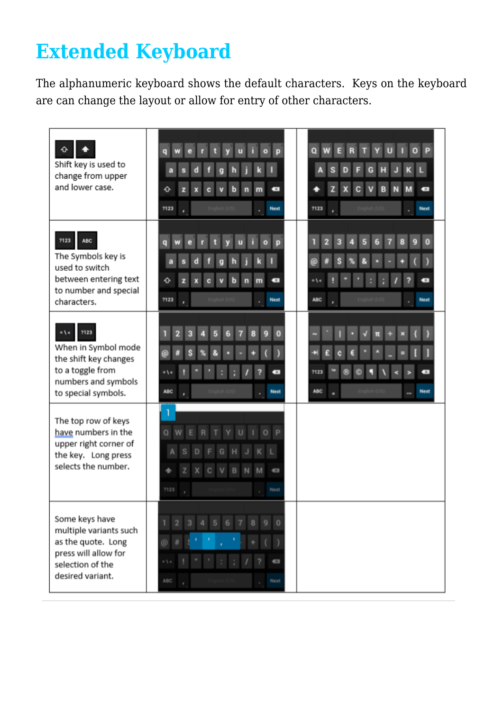# **Extended Keyboard**

The alphanumeric keyboard shows the default characters. Keys on the keyboard are can change the layout or allow for entry of other characters.

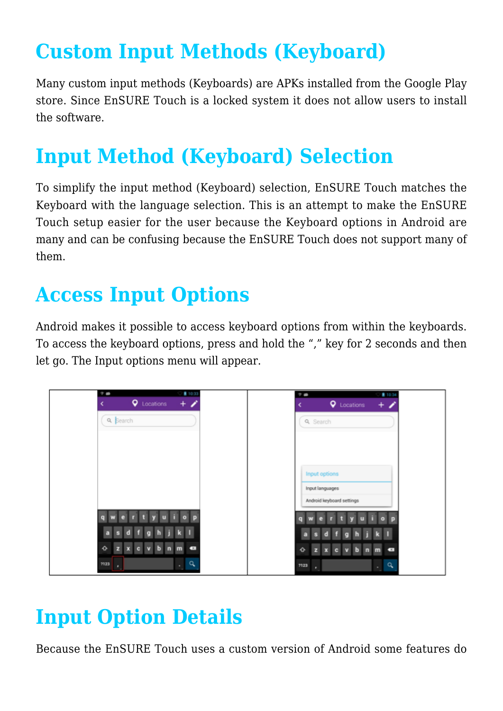# **Custom Input Methods (Keyboard)**

Many custom input methods (Keyboards) are APKs installed from the Google Play store. Since EnSURE Touch is a locked system it does not allow users to install the software.

#### **Input Method (Keyboard) Selection**

To simplify the input method (Keyboard) selection, EnSURE Touch matches the Keyboard with the language selection. This is an attempt to make the EnSURE Touch setup easier for the user because the Keyboard options in Android are many and can be confusing because the EnSURE Touch does not support many of them.

#### **Access Input Options**

Android makes it possible to access keyboard options from within the keyboards. To access the keyboard options, press and hold the "," key for 2 seconds and then let go. The Input options menu will appear.



#### **Input Option Details**

Because the EnSURE Touch uses a custom version of Android some features do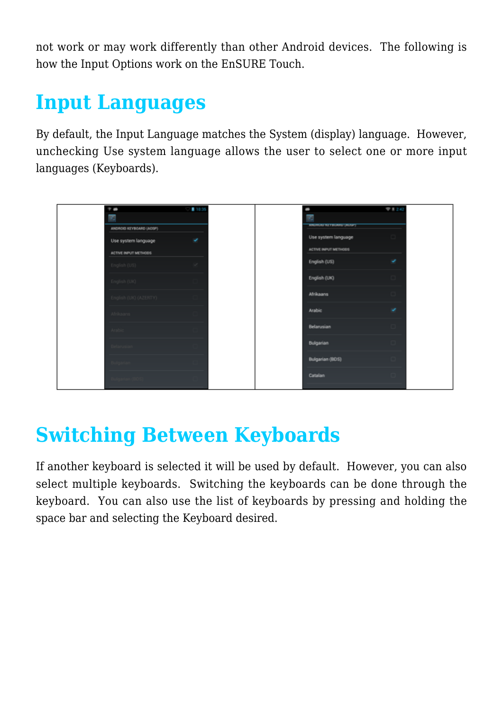not work or may work differently than other Android devices. The following is how the Input Options work on the EnSURE Touch.

#### **Input Languages**

By default, the Input Language matches the System (display) language. However, unchecking Use system language allows the user to select one or more input languages (Keyboards).



#### **Switching Between Keyboards**

If another keyboard is selected it will be used by default. However, you can also select multiple keyboards. Switching the keyboards can be done through the keyboard. You can also use the list of keyboards by pressing and holding the space bar and selecting the Keyboard desired.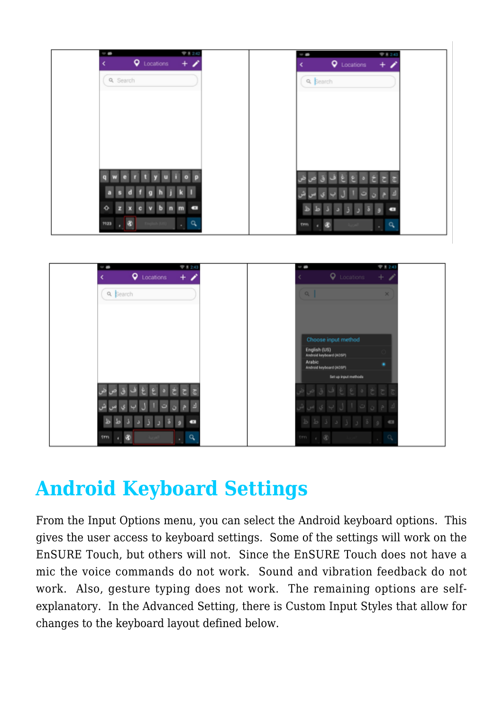



# **Android Keyboard Settings**

From the Input Options menu, you can select the Android keyboard options. This gives the user access to keyboard settings. Some of the settings will work on the EnSURE Touch, but others will not. Since the EnSURE Touch does not have a mic the voice commands do not work. Sound and vibration feedback do not work. Also, gesture typing does not work. The remaining options are selfexplanatory. In the Advanced Setting, there is Custom Input Styles that allow for changes to the keyboard layout defined below.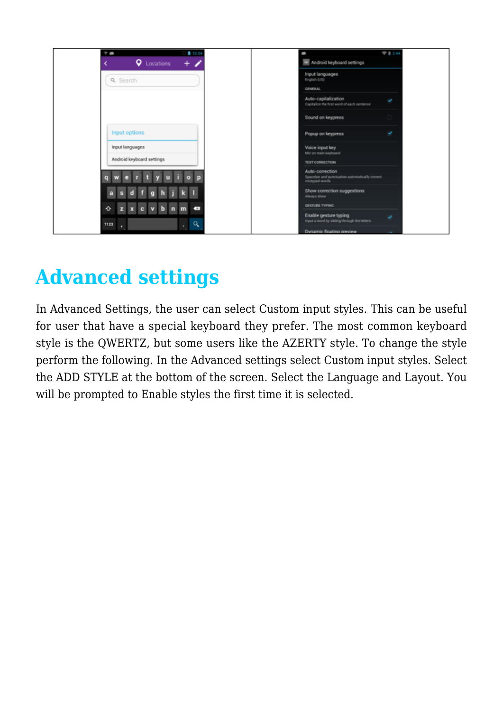

#### **Advanced settings**

In Advanced Settings, the user can select Custom input styles. This can be useful for user that have a special keyboard they prefer. The most common keyboard style is the QWERTZ, but some users like the AZERTY style. To change the style perform the following. In the Advanced settings select Custom input styles. Select the ADD STYLE at the bottom of the screen. Select the Language and Layout. You will be prompted to Enable styles the first time it is selected.